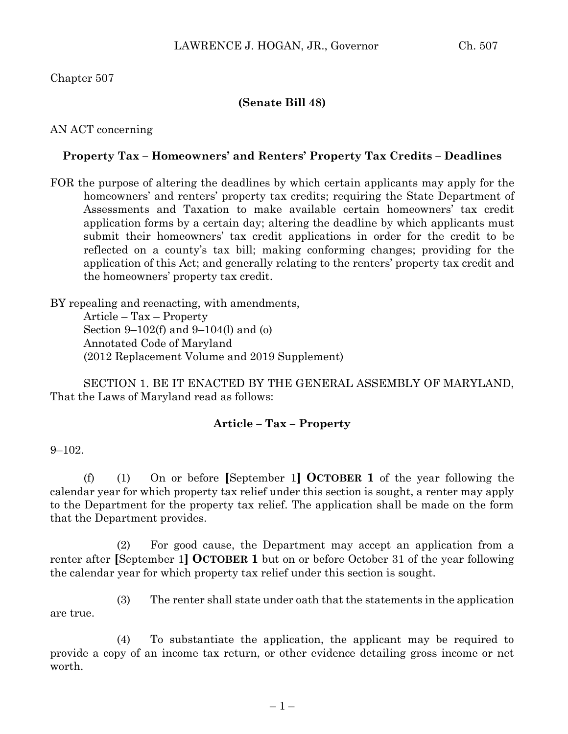## Chapter 507

### **(Senate Bill 48)**

AN ACT concerning

### **Property Tax – Homeowners' and Renters' Property Tax Credits – Deadlines**

FOR the purpose of altering the deadlines by which certain applicants may apply for the homeowners' and renters' property tax credits; requiring the State Department of Assessments and Taxation to make available certain homeowners' tax credit application forms by a certain day; altering the deadline by which applicants must submit their homeowners' tax credit applications in order for the credit to be reflected on a county's tax bill; making conforming changes; providing for the application of this Act; and generally relating to the renters' property tax credit and the homeowners' property tax credit.

BY repealing and reenacting, with amendments, Article – Tax – Property Section 9–102(f) and 9–104(l) and (o) Annotated Code of Maryland (2012 Replacement Volume and 2019 Supplement)

SECTION 1. BE IT ENACTED BY THE GENERAL ASSEMBLY OF MARYLAND, That the Laws of Maryland read as follows:

#### **Article – Tax – Property**

#### $9 - 102$ .

(f) (1) On or before **[**September 1**] OCTOBER 1** of the year following the calendar year for which property tax relief under this section is sought, a renter may apply to the Department for the property tax relief. The application shall be made on the form that the Department provides.

(2) For good cause, the Department may accept an application from a renter after **[**September 1**] OCTOBER 1** but on or before October 31 of the year following the calendar year for which property tax relief under this section is sought.

(3) The renter shall state under oath that the statements in the application are true.

(4) To substantiate the application, the applicant may be required to provide a copy of an income tax return, or other evidence detailing gross income or net worth.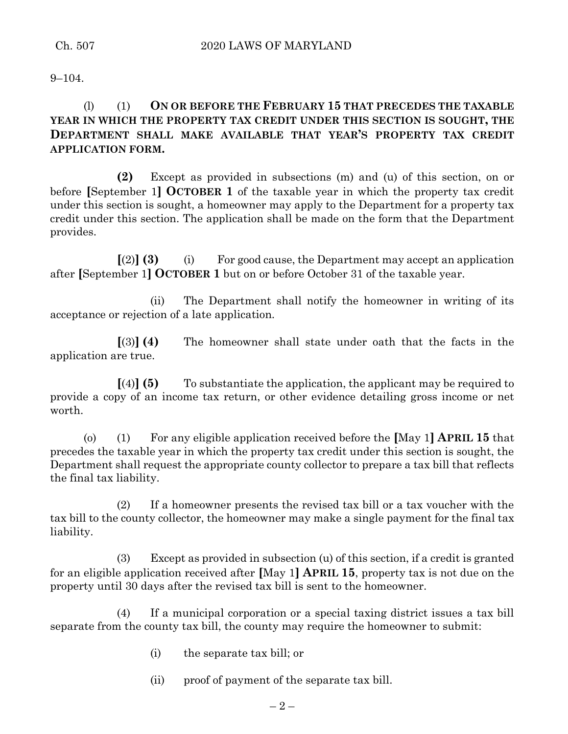$9 - 104$ .

## (l) (1) **ON OR BEFORE THE FEBRUARY 15 THAT PRECEDES THE TAXABLE YEAR IN WHICH THE PROPERTY TAX CREDIT UNDER THIS SECTION IS SOUGHT, THE DEPARTMENT SHALL MAKE AVAILABLE THAT YEAR'S PROPERTY TAX CREDIT APPLICATION FORM.**

**(2)** Except as provided in subsections (m) and (u) of this section, on or before **[**September 1**] OCTOBER 1** of the taxable year in which the property tax credit under this section is sought, a homeowner may apply to the Department for a property tax credit under this section. The application shall be made on the form that the Department provides.

**[**(2)**] (3)** (i) For good cause, the Department may accept an application after **[**September 1**] OCTOBER 1** but on or before October 31 of the taxable year.

(ii) The Department shall notify the homeowner in writing of its acceptance or rejection of a late application.

**[**(3)**] (4)** The homeowner shall state under oath that the facts in the application are true.

**[**(4)**] (5)** To substantiate the application, the applicant may be required to provide a copy of an income tax return, or other evidence detailing gross income or net worth.

(o) (1) For any eligible application received before the **[**May 1**] APRIL 15** that precedes the taxable year in which the property tax credit under this section is sought, the Department shall request the appropriate county collector to prepare a tax bill that reflects the final tax liability.

(2) If a homeowner presents the revised tax bill or a tax voucher with the tax bill to the county collector, the homeowner may make a single payment for the final tax liability.

(3) Except as provided in subsection (u) of this section, if a credit is granted for an eligible application received after **[**May 1**] APRIL 15**, property tax is not due on the property until 30 days after the revised tax bill is sent to the homeowner.

(4) If a municipal corporation or a special taxing district issues a tax bill separate from the county tax bill, the county may require the homeowner to submit:

(i) the separate tax bill; or

(ii) proof of payment of the separate tax bill.